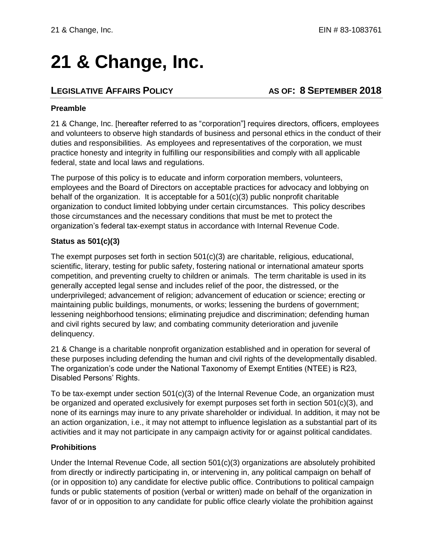# **21 & Change, Inc.**

## **LEGISLATIVE AFFAIRS POLICY AS OF: 8 SEPTEMBER 2018**

#### **Preamble**

21 & Change, Inc. [hereafter referred to as "corporation"] requires directors, officers, employees and volunteers to observe high standards of business and personal ethics in the conduct of their duties and responsibilities. As employees and representatives of the corporation, we must practice honesty and integrity in fulfilling our responsibilities and comply with all applicable federal, state and local laws and regulations.

The purpose of this policy is to educate and inform corporation members, volunteers, employees and the Board of Directors on acceptable practices for advocacy and lobbying on behalf of the organization. It is acceptable for a  $501(c)(3)$  public nonprofit charitable organization to conduct limited lobbying under certain circumstances. This policy describes those circumstances and the necessary conditions that must be met to protect the organization's federal tax-exempt status in accordance with Internal Revenue Code.

#### **Status as 501(c)(3)**

The exempt purposes set forth in section 501(c)(3) are charitable, religious, educational, scientific, literary, testing for public safety, fostering national or international amateur sports competition, and preventing cruelty to children or animals. The term charitable is used in its generally accepted legal sense and includes relief of the poor, the distressed, or the underprivileged; advancement of religion; advancement of education or science; erecting or maintaining public buildings, monuments, or works; lessening the burdens of government; lessening neighborhood tensions; eliminating prejudice and discrimination; defending human and civil rights secured by law; and combating community deterioration and juvenile delinquency.

21 & Change is a charitable nonprofit organization established and in operation for several of these purposes including defending the human and civil rights of the developmentally disabled. The organization's code under the National Taxonomy of Exempt Entities (NTEE) is R23, Disabled Persons' Rights.

To be tax-exempt under section 501(c)(3) of the Internal Revenue Code, an organization must be organized and operated exclusively for exempt purposes set forth in section 501(c)(3), and none of its earnings may inure to any private shareholder or individual. In addition, it may not be an action organization, i.e., it may not attempt to influence legislation as a substantial part of its activities and it may not participate in any campaign activity for or against political candidates.

### **Prohibitions**

Under the Internal Revenue Code, all section 501(c)(3) organizations are absolutely prohibited from directly or indirectly participating in, or intervening in, any political campaign on behalf of (or in opposition to) any candidate for elective public office. Contributions to political campaign funds or public statements of position (verbal or written) made on behalf of the organization in favor of or in opposition to any candidate for public office clearly violate the prohibition against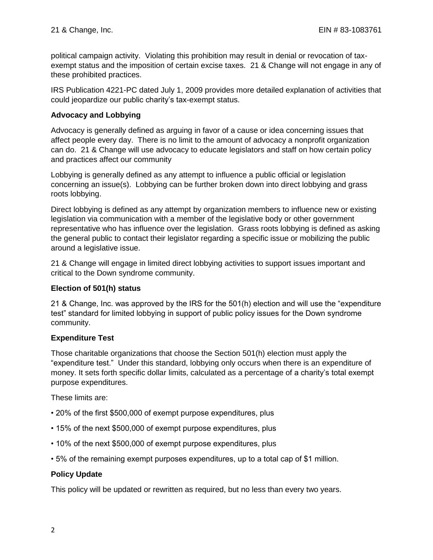political campaign activity. Violating this prohibition may result in denial or revocation of taxexempt status and the imposition of certain excise taxes. 21 & Change will not engage in any of these prohibited practices.

IRS Publication 4221-PC dated July 1, 2009 provides more detailed explanation of activities that could jeopardize our public charity's tax-exempt status.

#### **Advocacy and Lobbying**

Advocacy is generally defined as arguing in favor of a cause or idea concerning issues that affect people every day. There is no limit to the amount of advocacy a nonprofit organization can do. 21 & Change will use advocacy to educate legislators and staff on how certain policy and practices affect our community

Lobbying is generally defined as any attempt to influence a public official or legislation concerning an issue(s). Lobbying can be further broken down into direct lobbying and grass roots lobbying.

Direct lobbying is defined as any attempt by organization members to influence new or existing legislation via communication with a member of the legislative body or other government representative who has influence over the legislation. Grass roots lobbying is defined as asking the general public to contact their legislator regarding a specific issue or mobilizing the public around a legislative issue.

21 & Change will engage in limited direct lobbying activities to support issues important and critical to the Down syndrome community.

#### **Election of 501(h) status**

21 & Change, Inc. was approved by the IRS for the 501(h) election and will use the "expenditure test" standard for limited lobbying in support of public policy issues for the Down syndrome community.

#### **Expenditure Test**

Those charitable organizations that choose the Section 501(h) election must apply the "expenditure test." Under this standard, lobbying only occurs when there is an expenditure of money. It sets forth specific dollar limits, calculated as a percentage of a charity's total exempt purpose expenditures.

These limits are:

- 20% of the first \$500,000 of exempt purpose expenditures, plus
- 15% of the next \$500,000 of exempt purpose expenditures, plus
- 10% of the next \$500,000 of exempt purpose expenditures, plus
- 5% of the remaining exempt purposes expenditures, up to a total cap of \$1 million.

#### **Policy Update**

This policy will be updated or rewritten as required, but no less than every two years.